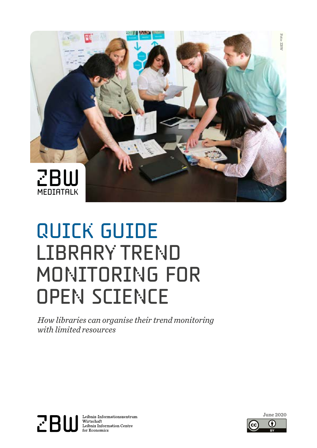

# quick guide LIBRARY TREND MONITORING FOR **OPEN SCIENCE**

 *How libraries can organise their trend monitoring with limited resources*



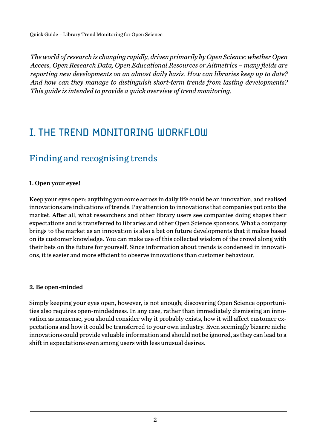*The world of research is changing rapidly, driven primarily by Open Science: whether Open Access, Open Research Data, Open Educational Resources or Altmetrics – many fields are reporting new developments on an almost daily basis. How can libraries keep up to date? And how can they manage to distinguish short-term trends from lasting developments? This guide is intended to provide a quick overview of trend monitoring.*

### **I. THE TREND MONITORING WORKELOW**

### Finding and recognising trends

#### 1. Open your eyes!

Keep your eyes open: anything you come across in daily life could be an innovation, and realised innovations are indications of trends. Pay attention to innovations that companies put onto the market. After all, what researchers and other library users see companies doing shapes their expectations and is transferred to libraries and other Open Science sponsors. What a company brings to the market as an innovation is also a bet on future developments that it makes based on its customer knowledge. You can make use of this collected wisdom of the crowd along with their bets on the future for yourself. Since information about trends is condensed in innovations, it is easier and more efficient to observe innovations than customer behaviour.

#### 2. Be open-minded

Simply keeping your eyes open, however, is not enough; discovering Open Science opportunities also requires open-mindedness. In any case, rather than immediately dismissing an innovation as nonsense, you should consider why it probably exists, how it will affect customer expectations and how it could be transferred to your own industry. Even seemingly bizarre niche innovations could provide valuable information and should not be ignored, as they can lead to a shift in expectations even among users with less unusual desires.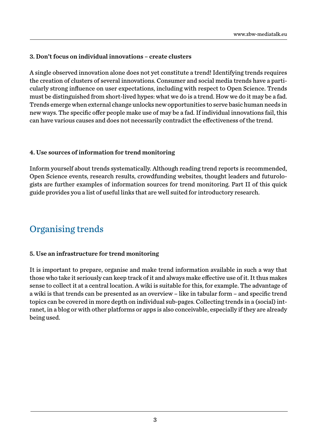#### 3. Don't focus on individual innovations – create clusters

A single observed innovation alone does not yet constitute a trend! Identifying trends requires the creation of clusters of several innovations. Consumer and social media trends have a particularly strong influence on user expectations, including with respect to Open Science. Trends must be distinguished from short-lived hypes: what we do is a trend. How we do it may be a fad. Trends emerge when external change unlocks new opportunities to serve basic human needs in new ways. The specific offer people make use of may be a fad. If individual innovations fail, this can have various causes and does not necessarily contradict the effectiveness of the trend.

#### 4. Use sources of information for trend monitoring

Inform yourself about trends systematically. Although reading trend reports is recommended, Open Science events, research results, crowdfunding websites, thought leaders and futurologists are further examples of information sources for trend monitoring. Part II of this quick guide provides you a list of useful links that are well suited for introductory research.

### Organising trends

#### 5. Use an infrastructure for trend monitoring

It is important to prepare, organise and make trend information available in such a way that those who take it seriously can keep track of it and always make effective use of it. It thus makes sense to collect it at a central location. A wiki is suitable for this, for example. The advantage of a wiki is that trends can be presented as an overview – like in tabular form – and specific trend topics can be covered in more depth on individual sub-pages. Collecting trends in a (social) intranet, in a blog or with other platforms or apps is also conceivable, especially if they are already being used.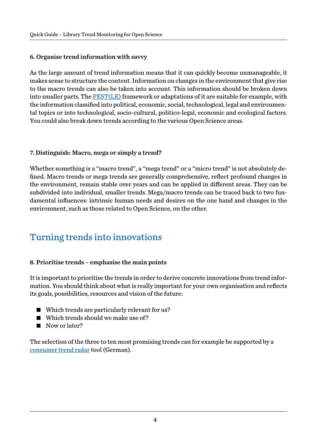#### 6. Organise trend information with savvy

As the large amount of trend information means that it can quickly become unmanageable, it makes sense to structure the content. Information on changes in the environment that give rise to the macro trends can also be taken into account. This information should be broken down into smaller parts. The **PEST**(LE) framework or adaptations of it are suitable for example, with the information classified into political, economic, social, technological, legal and environmental topics or into technological, socio-cultural, politico-legal, economic and ecological factors. You could also break down trends according to the various Open Science areas.

#### 7. Distinguish: Macro, mega or simply a trend?

Whether something is a "macro trend", a "mega trend" or a "micro trend" is not absolutely defined. Macro trends or mega trends are generally comprehensive, reflect profound changes in the environment, remain stable over years and can be applied in different areas. They can be subdivided into individual, smaller trends. Mega/macro trends can be traced back to two fundamental influences: intrinsic human needs and desires on the one hand and changes in the environment, such as those related to Open Science, on the other.

### Turning trends into innovations

#### 8. Prioritise trends – emphasise the main points

It is important to prioritise the trends in order to derive concrete innovations from trend information. You should think about what is really important for your own organisation and reflects its goals, possibilities, resources and vision of the future:

- Which trends are particularly relevant for us?
- Which trends should we make use of?
- Now or later?

The selection of the three to ten most promising trends can for example be supported by a [consumer trend radar tool](https://www.hwzdigital.ch/consumer-trend-canvas-ideen-einfach-entwickeln/) (German).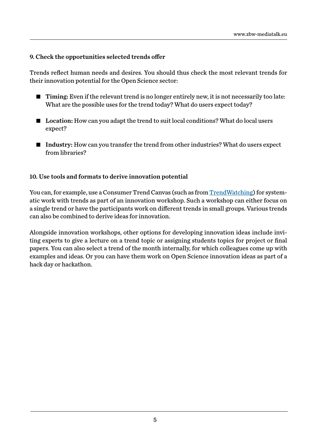#### 9. Check the opportunities selected trends offer

Trends reflect human needs and desires. You should thus check the most relevant trends for their innovation potential for the Open Science sector:

- Timing: Even if the relevant trend is no longer entirely new, it is not necessarily too late: What are the possible uses for the trend today? What do users expect today?
- Location: How can you adapt the trend to suit local conditions? What do local users expect?
- Industry: How can you transfer the trend from other industries? What do users expect from libraries?

#### 10. Use tools and formats to derive innovation potential

You can, for example, use a Consumer Trend Canvas (such as from [TrendWatching](https://www.trendwatching.com/trends/consumertrendcanvas/)) for systematic work with trends as part of an innovation workshop. Such a workshop can either focus on a single trend or have the participants work on different trends in small groups. Various trends can also be combined to derive ideas for innovation.

Alongside innovation workshops, other options for developing innovation ideas include inviting experts to give a lecture on a trend topic or assigning students topics for project or final papers. You can also select a trend of the month internally, for which colleagues come up with examples and ideas. Or you can have them work on Open Science innovation ideas as part of a hack day or hackathon.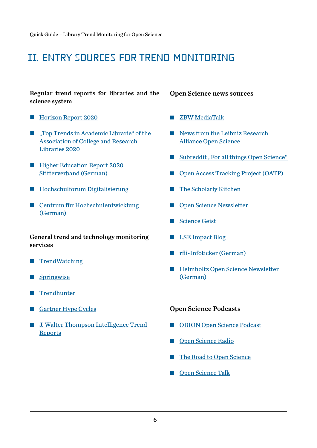## II. Entry sources for trend monitoring

Regular trend reports for libraries and the science system

- **[Horizon Report](https://library.educause.edu/resources/2020/3/2020-educause-horizon-report-teaching-and-learning-edition) 2020**
- **Top Trends in Academic Librarie**" of the [Association of College and Research](https://crln.acrl.org/index.php/crlnews/article/view/24478/32315) [Libraries 2020](https://crln.acrl.org/index.php/crlnews/article/view/24478/32315)
- **Higher Education Report 2020** [Stifterverband](https://www.stifterverband.org/hochschul-bildungs-report_2020) (German)
- [Hochschulforum Digitalisierung](https://hochschulforumdigitalisierung.de/publikationen)
- [Centrum für Hochschulentwicklung](https://www.che.de/publikationen/) (German)

General trend and technology monitoring services

- **■** [TrendWatching](https://trendwatching.com/)
- **[Springwise](https://www.springwise.com/)**
- [Trendhunter](https://www.trendhunter.com/)
- [Gartner Hype Cycles](https://www.gartner.com/en/research/methodologies/gartner-hype-cycle)
- **J. Walter Thompson Intelligence Trend [Reports](https://www.jwtintelligence.com/trend-reports/)**

Open Science news sources

- Ȗ [ZBW MediaTalk](https://www.zbw-mediatalk.eu/)
- News from the Leibniz Research [Alliance Open Science](https://www.leibniz-openscience.de/de/aktuelles-aktivitaeten/blog/)
- [Subreddit "For all things Open Science"](https://www.reddit.com/r/Open_Science/)
- [Open Access Tracking Project \(OATP\)](https://tagteam.harvard.edu/hubs/oatp/items)
- [The Scholarly Kitchen](https://scholarlykitchen.sspnet.org/)
- [Open Science Newsletter](https://www.heber.info/)
- [Science Geist](https://www.sciencegeist.ch/)
- **Example 1** [LSE Impact Blog](https://blogs.lse.ac.uk/impactofsocialsciences/)
- [rfii-Infoticker \(German\)](https://listserv.gwdg.de/mailman/listinfo/rfii_infoticker)
- Helmholtz Open Science Newsletter [\(German\)](https://os.helmholtz.de/bewusstsein-schaerfen/newsletter/)

#### Open Science Podcasts

- [ORION Open Science Podcast](https://orionopenscience.podbean.com/)
- [Open Science Radio](http://www.openscienceradio.org/)
- [The Road to Open Science](https://soundcloud.com/utrechtyoungacademy)
- [Open Science Talk](https://site.uit.no/ub/)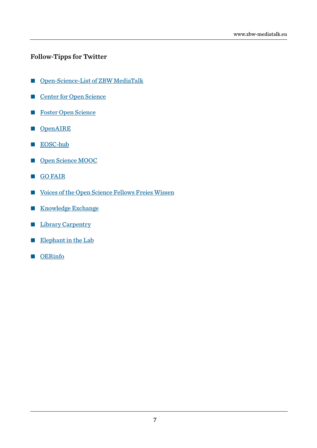#### Follow-Tipps for Twitter

- [Open-Science-List of ZBW MediaTalk](https://twitter.com/i/lists/717264933549969409?s=20)
- [Center for Open Science](https://twitter.com/OSFramework)
- [Foster Open Science](https://twitter.com/fosterscience)
- **[OpenAIRE](https://twitter.com/OpenAIRE_eu)**
- [EOSC-hub](https://twitter.com/EOSC_eu)
- [Open Science MOOC](https://twitter.com/OpenScienceMOOC)
- **[GO FAIR](https://twitter.com/GOFAIRofficial)**
- Ȗ [Voices of the Open Science Fellows Freies Wissen](https://twitter.com/OpenSciFellows)
- **[Knowledge Exchange](https://twitter.com/knowexchange)**
- **Exercise [Library Carpentry](https://twitter.com/LibCarpentry)**
- [Elephant in the Lab](https://twitter.com/eitl_blog)
- Ȗ [OERinfo](https://twitter.com/OERinfo)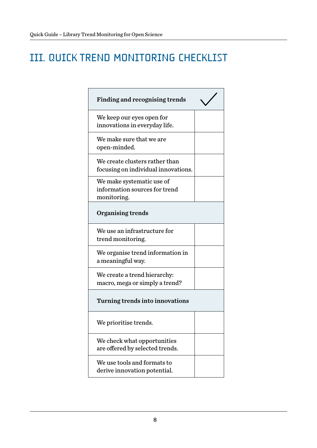# III. Quick trend monitoring checklist

| <b>Finding and recognising trends</b>                                     |
|---------------------------------------------------------------------------|
| We keep our eyes open for<br>innovations in everyday life.                |
| We make sure that we are<br>open-minded.                                  |
| We create clusters rather than<br>focusing on individual innovations.     |
| We make systematic use of<br>information sources for trend<br>monitoring. |
| <b>Organising trends</b>                                                  |
| We use an infrastructure for<br>trend monitoring.                         |
| We organise trend information in<br>a meaningful way.                     |
| We create a trend hierarchy:<br>macro, mega or simply a trend?            |
| Turning trends into innovations                                           |
| We prioritise trends.                                                     |
| We check what opportunities<br>are offered by selected trends.            |
| We use tools and formats to<br>derive innovation potential.               |